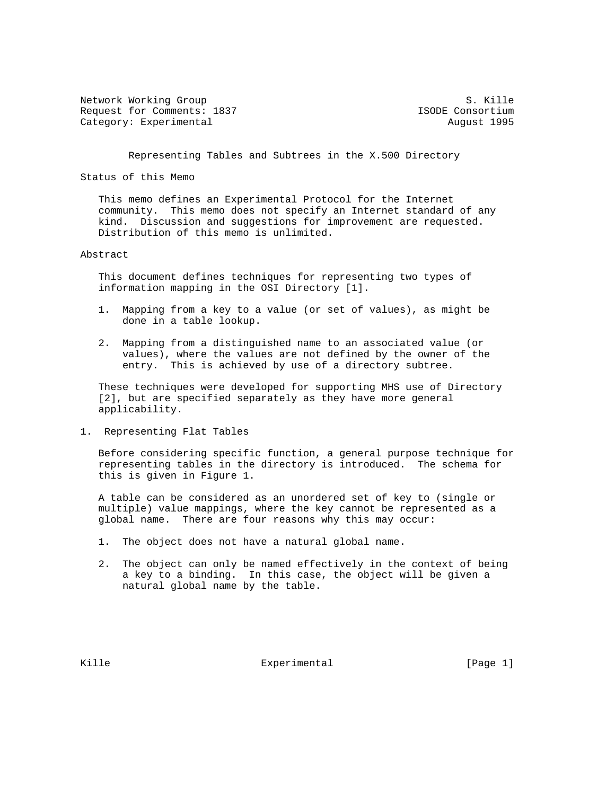Network Working Group S. Kille Request for Comments: 1837 **ISODE** Consortium Category: Experimental and August 1995

Representing Tables and Subtrees in the X.500 Directory

Status of this Memo

 This memo defines an Experimental Protocol for the Internet community. This memo does not specify an Internet standard of any kind. Discussion and suggestions for improvement are requested. Distribution of this memo is unlimited.

## Abstract

 This document defines techniques for representing two types of information mapping in the OSI Directory [1].

- 1. Mapping from a key to a value (or set of values), as might be done in a table lookup.
- 2. Mapping from a distinguished name to an associated value (or values), where the values are not defined by the owner of the entry. This is achieved by use of a directory subtree.

 These techniques were developed for supporting MHS use of Directory [2], but are specified separately as they have more general applicability.

1. Representing Flat Tables

 Before considering specific function, a general purpose technique for representing tables in the directory is introduced. The schema for this is given in Figure 1.

 A table can be considered as an unordered set of key to (single or multiple) value mappings, where the key cannot be represented as a global name. There are four reasons why this may occur:

- 1. The object does not have a natural global name.
- 2. The object can only be named effectively in the context of being a key to a binding. In this case, the object will be given a natural global name by the table.

Kille Experimental Experimental [Page 1]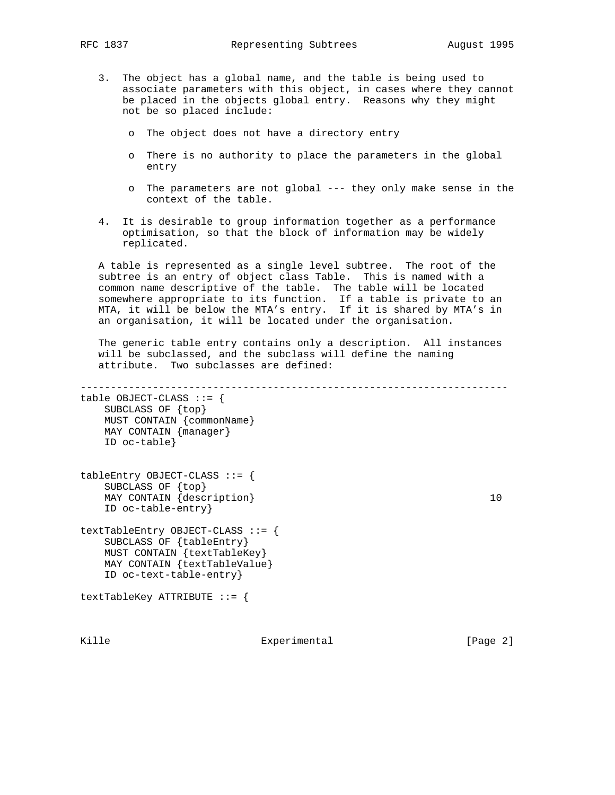- 3. The object has a global name, and the table is being used to associate parameters with this object, in cases where they cannot be placed in the objects global entry. Reasons why they might not be so placed include:
	- o The object does not have a directory entry
	- o There is no authority to place the parameters in the global entry
	- o The parameters are not global --- they only make sense in the context of the table.
- 4. It is desirable to group information together as a performance optimisation, so that the block of information may be widely replicated.

 A table is represented as a single level subtree. The root of the subtree is an entry of object class Table. This is named with a common name descriptive of the table. The table will be located somewhere appropriate to its function. If a table is private to an MTA, it will be below the MTA's entry. If it is shared by MTA's in an organisation, it will be located under the organisation.

 The generic table entry contains only a description. All instances will be subclassed, and the subclass will define the naming attribute. Two subclasses are defined:

---------------------------------------------------------------------- table  $OBJECT-CLASS :: = {$  SUBCLASS OF {top} MUST CONTAIN {commonName} MAY CONTAIN {manager} ID oc-table} tableEntry OBJECT-CLASS ::= { SUBCLASS OF  $\{top\}$  $\text{MAX}$  CONTAIN  $\{ \text{description} \}$  10 ID oc-table-entry} textTableEntry OBJECT-CLASS ::= { SUBCLASS OF {tableEntry} MUST CONTAIN {textTableKey} MAY CONTAIN {textTableValue} ID oc-text-table-entry} textTableKey ATTRIBUTE ::= {

Kille Experimental [Page 2]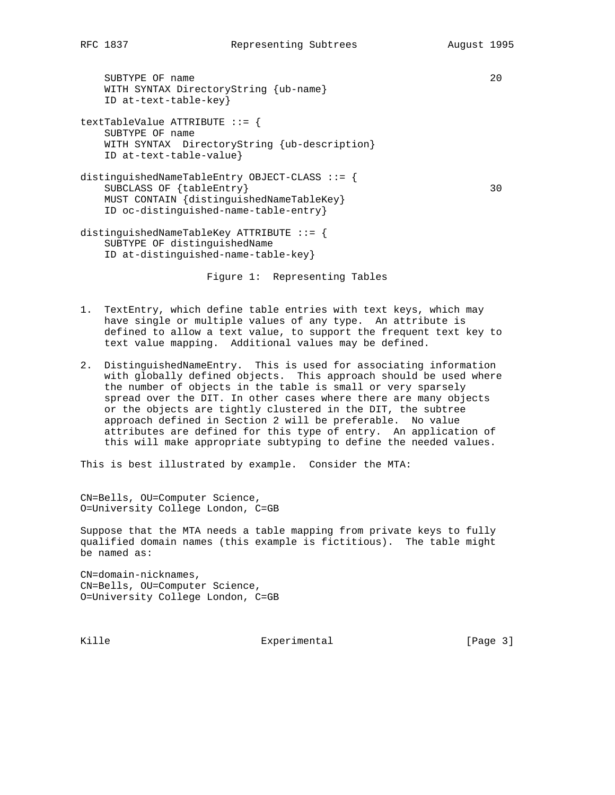SUBTYPE OF name 20 WITH SYNTAX DirectoryString {ub-name} ID at-text-table-key} textTableValue ATTRIBUTE ::= { SUBTYPE OF name WITH SYNTAX DirectoryString {ub-description} ID at-text-table-value} distinguishedNameTableEntry OBJECT-CLASS ::= { SUBCLASS OF {tableEntry} 30 MUST CONTAIN {distinguishedNameTableKey} ID oc-distinguished-name-table-entry} distinguishedNameTableKey ATTRIBUTE ::= { SUBTYPE OF distinguishedName ID at-distinguished-name-table-key}

Figure 1: Representing Tables

- 1. TextEntry, which define table entries with text keys, which may have single or multiple values of any type. An attribute is defined to allow a text value, to support the frequent text key to text value mapping. Additional values may be defined.
- 2. DistinguishedNameEntry. This is used for associating information with globally defined objects. This approach should be used where the number of objects in the table is small or very sparsely spread over the DIT. In other cases where there are many objects or the objects are tightly clustered in the DIT, the subtree approach defined in Section 2 will be preferable. No value attributes are defined for this type of entry. An application of this will make appropriate subtyping to define the needed values.

This is best illustrated by example. Consider the MTA:

CN=Bells, OU=Computer Science, O=University College London, C=GB

Suppose that the MTA needs a table mapping from private keys to fully qualified domain names (this example is fictitious). The table might be named as:

CN=domain-nicknames, CN=Bells, OU=Computer Science, O=University College London, C=GB

Kille Experimental [Page 3]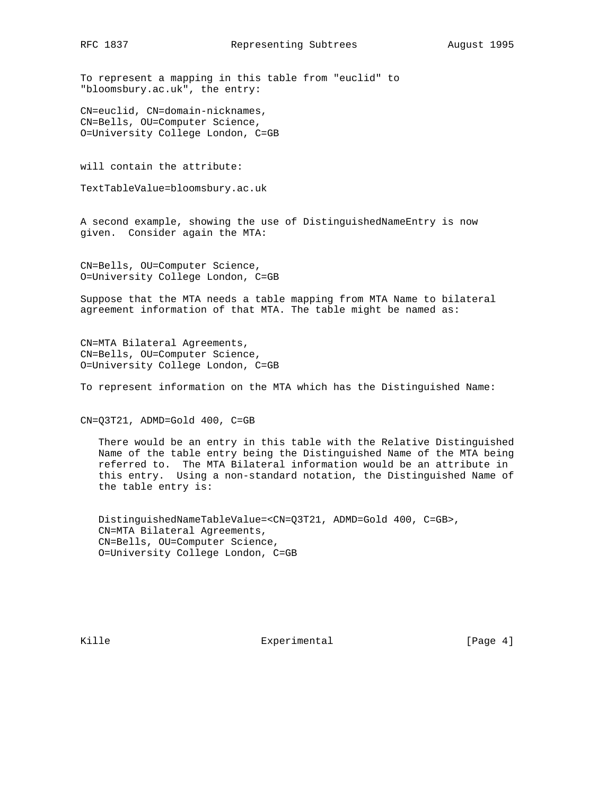To represent a mapping in this table from "euclid" to "bloomsbury.ac.uk", the entry:

CN=euclid, CN=domain-nicknames, CN=Bells, OU=Computer Science, O=University College London, C=GB

will contain the attribute:

TextTableValue=bloomsbury.ac.uk

A second example, showing the use of DistinguishedNameEntry is now given. Consider again the MTA:

CN=Bells, OU=Computer Science, O=University College London, C=GB

Suppose that the MTA needs a table mapping from MTA Name to bilateral agreement information of that MTA. The table might be named as:

CN=MTA Bilateral Agreements, CN=Bells, OU=Computer Science, O=University College London, C=GB

To represent information on the MTA which has the Distinguished Name:

CN=Q3T21, ADMD=Gold 400, C=GB

 There would be an entry in this table with the Relative Distinguished Name of the table entry being the Distinguished Name of the MTA being referred to. The MTA Bilateral information would be an attribute in this entry. Using a non-standard notation, the Distinguished Name of the table entry is:

 DistinguishedNameTableValue=<CN=Q3T21, ADMD=Gold 400, C=GB>, CN=MTA Bilateral Agreements, CN=Bells, OU=Computer Science, O=University College London, C=GB

Kille Experimental Experimental [Page 4]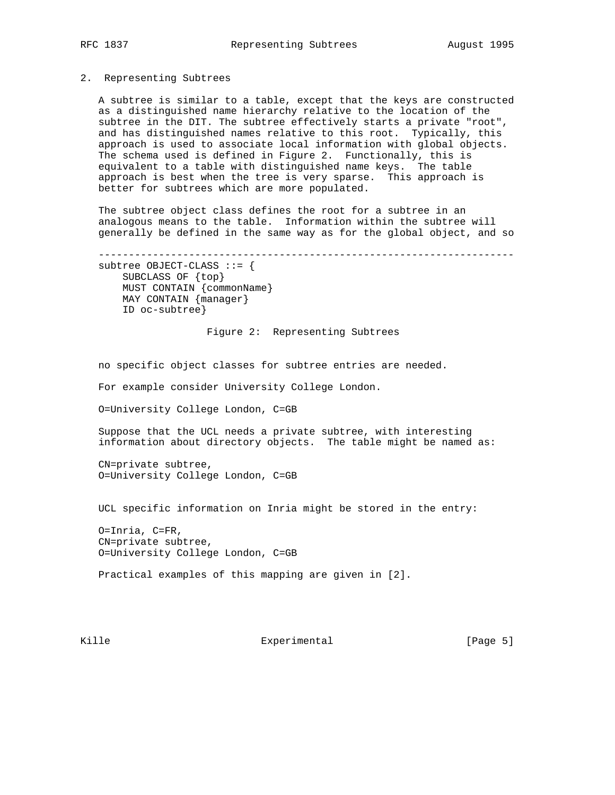## 2. Representing Subtrees

 A subtree is similar to a table, except that the keys are constructed as a distinguished name hierarchy relative to the location of the subtree in the DIT. The subtree effectively starts a private "root", and has distinguished names relative to this root. Typically, this approach is used to associate local information with global objects. The schema used is defined in Figure 2. Functionally, this is equivalent to a table with distinguished name keys. The table approach is best when the tree is very sparse. This approach is better for subtrees which are more populated.

 The subtree object class defines the root for a subtree in an analogous means to the table. Information within the subtree will generally be defined in the same way as for the global object, and so

 -------------------------------------------------------------------- subtree OBJECT-CLASS ::= { SUBCLASS OF {top} MUST CONTAIN {commonName} MAY CONTAIN {manager} ID oc-subtree}

Figure 2: Representing Subtrees

no specific object classes for subtree entries are needed.

For example consider University College London.

O=University College London, C=GB

 Suppose that the UCL needs a private subtree, with interesting information about directory objects. The table might be named as:

 CN=private subtree, O=University College London, C=GB

UCL specific information on Inria might be stored in the entry:

 O=Inria, C=FR, CN=private subtree, O=University College London, C=GB

Practical examples of this mapping are given in [2].

Kille Experimental [Page 5]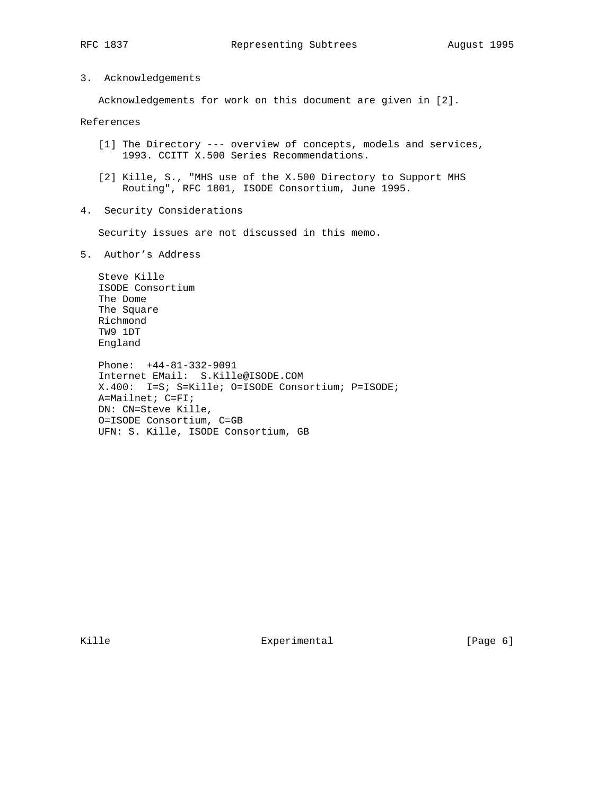3. Acknowledgements

Acknowledgements for work on this document are given in [2].

## References

- [1] The Directory --- overview of concepts, models and services, 1993. CCITT X.500 Series Recommendations.
- [2] Kille, S., "MHS use of the X.500 Directory to Support MHS Routing", RFC 1801, ISODE Consortium, June 1995.
- 4. Security Considerations

Security issues are not discussed in this memo.

5. Author's Address

 Steve Kille ISODE Consortium The Dome The Square Richmond TW9 1DT England

 Phone: +44-81-332-9091 Internet EMail: S.Kille@ISODE.COM X.400: I=S; S=Kille; O=ISODE Consortium; P=ISODE; A=Mailnet; C=FI; DN: CN=Steve Kille, O=ISODE Consortium, C=GB UFN: S. Kille, ISODE Consortium, GB

Kille Experimental Experimental [Page 6]